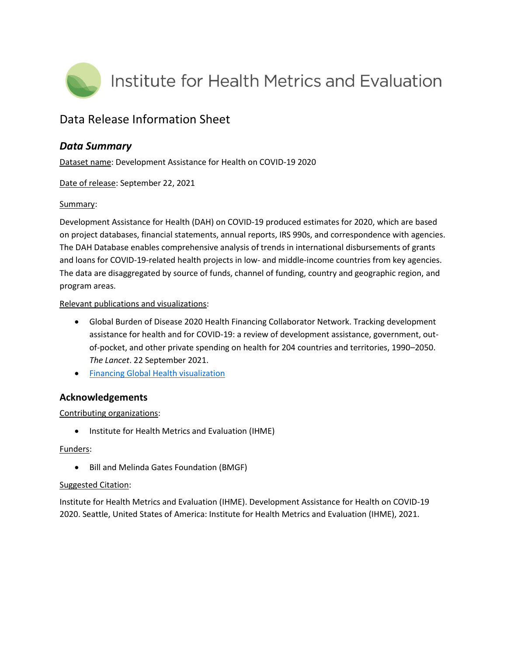

# Data Release Information Sheet

## *Data Summary*

Dataset name: Development Assistance for Health on COVID-19 2020

Date of release: September 22, 2021

### Summary:

Development Assistance for Health (DAH) on COVID-19 produced estimates for 2020, which are based on project databases, financial statements, annual reports, IRS 990s, and correspondence with agencies. The DAH Database enables comprehensive analysis of trends in international disbursements of grants and loans for COVID-19-related health projects in low- and middle-income countries from key agencies. The data are disaggregated by source of funds, channel of funding, country and geographic region, and program areas.

#### Relevant publications and visualizations:

- Global Burden of Disease 2020 Health Financing Collaborator Network. Tracking development assistance for health and for COVID-19: a review of development assistance, government, outof-pocket, and other private spending on health for 204 countries and territories, 1990–2050. *The Lancet*. 22 September 2021.
- **[Financing Global Health visualization](https://vizhub.healthdata.org/fgh/)**

## **Acknowledgements**

### Contributing organizations:

• Institute for Health Metrics and Evaluation (IHME)

### Funders:

Bill and Melinda Gates Foundation (BMGF)

#### Suggested Citation:

Institute for Health Metrics and Evaluation (IHME). Development Assistance for Health on COVID-19 2020. Seattle, United States of America: Institute for Health Metrics and Evaluation (IHME), 2021.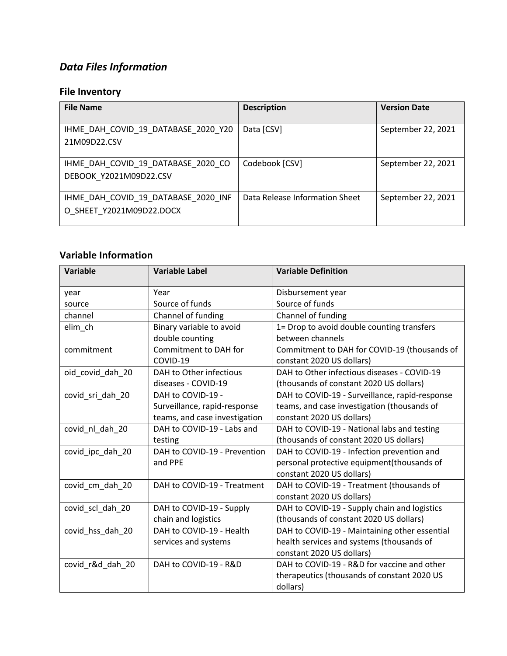# *Data Files Information*

# **File Inventory**

| <b>File Name</b>                                                | <b>Description</b>             | <b>Version Date</b> |
|-----------------------------------------------------------------|--------------------------------|---------------------|
| IHME DAH COVID 19 DATABASE 2020 Y20<br>21M09D22.CSV             | Data [CSV]                     | September 22, 2021  |
| IHME DAH COVID 19 DATABASE 2020 CO<br>DEBOOK Y2021M09D22.CSV    | Codebook [CSV]                 | September 22, 2021  |
| IHME DAH COVID 19 DATABASE 2020 INF<br>O SHEET Y2021M09D22.DOCX | Data Release Information Sheet | September 22, 2021  |

# **Variable Information**

| <b>Variable</b>  | <b>Variable Label</b>         | <b>Variable Definition</b>                     |
|------------------|-------------------------------|------------------------------------------------|
| year             | Year                          | Disbursement year                              |
| source           | Source of funds               | Source of funds                                |
| channel          | Channel of funding            | Channel of funding                             |
| elim_ch          | Binary variable to avoid      | 1= Drop to avoid double counting transfers     |
|                  | double counting               | between channels                               |
| commitment       | Commitment to DAH for         | Commitment to DAH for COVID-19 (thousands of   |
|                  | COVID-19                      | constant 2020 US dollars)                      |
| oid_covid_dah_20 | DAH to Other infectious       | DAH to Other infectious diseases - COVID-19    |
|                  | diseases - COVID-19           | (thousands of constant 2020 US dollars)        |
| covid sri dah 20 | DAH to COVID-19 -             | DAH to COVID-19 - Surveillance, rapid-response |
|                  | Surveillance, rapid-response  | teams, and case investigation (thousands of    |
|                  | teams, and case investigation | constant 2020 US dollars)                      |
| covid_nl_dah_20  | DAH to COVID-19 - Labs and    | DAH to COVID-19 - National labs and testing    |
|                  | testing                       | (thousands of constant 2020 US dollars)        |
| covid ipc dah 20 | DAH to COVID-19 - Prevention  | DAH to COVID-19 - Infection prevention and     |
|                  | and PPE                       | personal protective equipment(thousands of     |
|                  |                               | constant 2020 US dollars)                      |
| covid_cm_dah_20  | DAH to COVID-19 - Treatment   | DAH to COVID-19 - Treatment (thousands of      |
|                  |                               | constant 2020 US dollars)                      |
| covid_scl_dah_20 | DAH to COVID-19 - Supply      | DAH to COVID-19 - Supply chain and logistics   |
|                  | chain and logistics           | (thousands of constant 2020 US dollars)        |
| covid_hss_dah_20 | DAH to COVID-19 - Health      | DAH to COVID-19 - Maintaining other essential  |
|                  | services and systems          | health services and systems (thousands of      |
|                  |                               | constant 2020 US dollars)                      |
| covid_r&d_dah_20 | DAH to COVID-19 - R&D         | DAH to COVID-19 - R&D for vaccine and other    |
|                  |                               | therapeutics (thousands of constant 2020 US    |
|                  |                               | dollars)                                       |